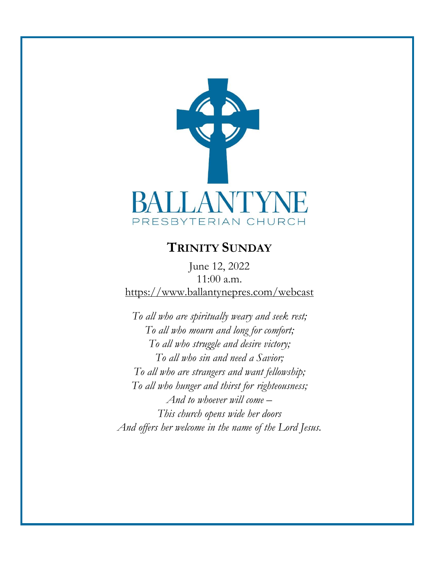

# **TRINITY SUNDAY**

June 12, 2022 11:00 a.m. <https://www.ballantynepres.com/webcast>

*To all who are spiritually weary and seek rest; To all who mourn and long for comfort; To all who struggle and desire victory; To all who sin and need a Savior; To all who are strangers and want fellowship; To all who hunger and thirst for righteousness; And to whoever will come – This church opens wide her doors And offers her welcome in the name of the Lord Jesus.*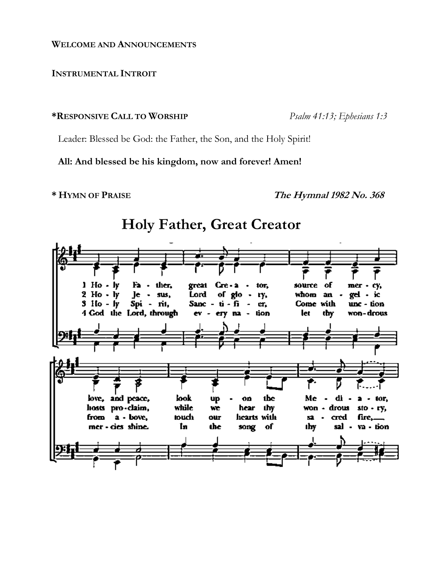**INSTRUMENTAL INTROIT**

#### **\*RESPONSIVE CALL TO WORSHIP** *Psalm 41:13; Ephesians 1:3*

Leader: Blessed be God: the Father, the Son, and the Holy Spirit!

#### **All: And blessed be his kingdom, now and forever! Amen!**

**\* HYMN OF PRAISE The Hymnal <sup>1982</sup> No. 368**

# **Holy Father, Great Creator**

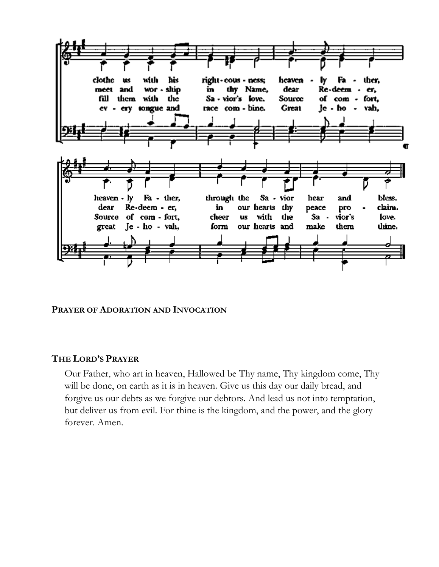

**PRAYER OF ADORATION AND INVOCATION**

#### **THE LORD'S PRAYER**

Our Father, who art in heaven, Hallowed be Thy name, Thy kingdom come, Thy will be done, on earth as it is in heaven. Give us this day our daily bread, and forgive us our debts as we forgive our debtors. And lead us not into temptation, but deliver us from evil. For thine is the kingdom, and the power, and the glory forever. Amen.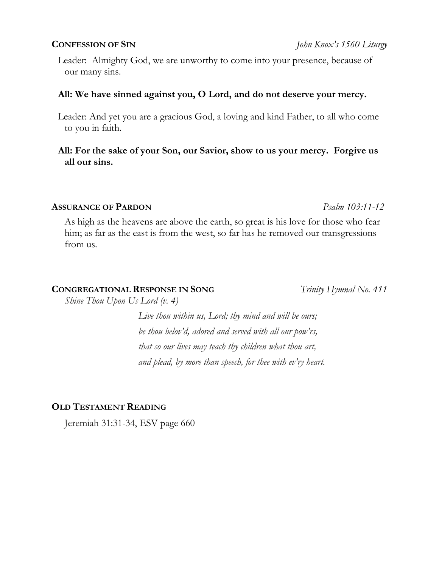Leader: Almighty God, we are unworthy to come into your presence, because of our many sins.

#### **All: We have sinned against you, O Lord, and do not deserve your mercy.**

Leader: And yet you are a gracious God, a loving and kind Father, to all who come to you in faith.

### **All: For the sake of your Son, our Savior, show to us your mercy. Forgive us all our sins.**

#### **ASSURANCE OF PARDON** *Psalm 103:11-12*

As high as the heavens are above the earth, so great is his love for those who fear him; as far as the east is from the west, so far has he removed our transgressions from us.

### **CONGREGATIONAL RESPONSE IN SONG** *Trinity Hymnal No. 411*

*Shine Thou Upon Us Lord (v. 4)*

 *Live thou within us, Lord; thy mind and will be ours; be thou belov'd, adored and served with all our pow'rs, that so our lives may teach thy children what thou art, and plead, by more than speech, for thee with ev'ry heart.*

### **OLD TESTAMENT READING**

Jeremiah 31:31-34, ESV page 660

**CONFESSION OF SIN** *John Knox's 1560 Liturgy*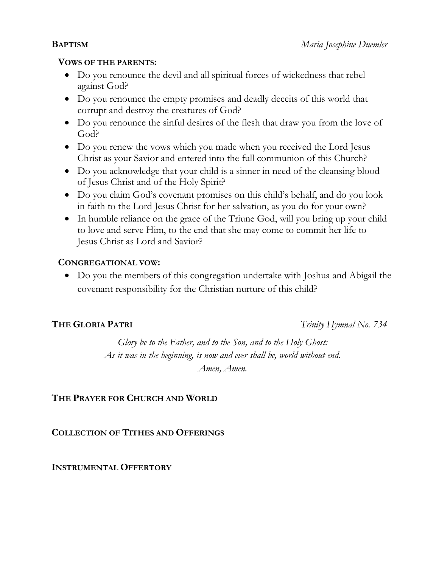### **VOWS OF THE PARENTS:**

- Do you renounce the devil and all spiritual forces of wickedness that rebel against God?
- Do you renounce the empty promises and deadly deceits of this world that corrupt and destroy the creatures of God?
- Do you renounce the sinful desires of the flesh that draw you from the love of God?
- Do you renew the vows which you made when you received the Lord Jesus Christ as your Savior and entered into the full communion of this Church?
- Do you acknowledge that your child is a sinner in need of the cleansing blood of Jesus Christ and of the Holy Spirit?
- Do you claim God's covenant promises on this child's behalf, and do you look in faith to the Lord Jesus Christ for her salvation, as you do for your own?
- In humble reliance on the grace of the Triune God, will you bring up your child to love and serve Him, to the end that she may come to commit her life to Jesus Christ as Lord and Savior?

### **CONGREGATIONAL VOW:**

• Do you the members of this congregation undertake with Joshua and Abigail the covenant responsibility for the Christian nurture of this child?

**THE GLORIA PATRI** *Trinity Hymnal No. 734*

*Glory be to the Father, and to the Son, and to the Holy Ghost: As it was in the beginning, is now and ever shall be, world without end. Amen, Amen.*

# **THE PRAYER FOR CHURCH AND WORLD**

**COLLECTION OF TITHES AND OFFERINGS**

### **INSTRUMENTAL OFFERTORY**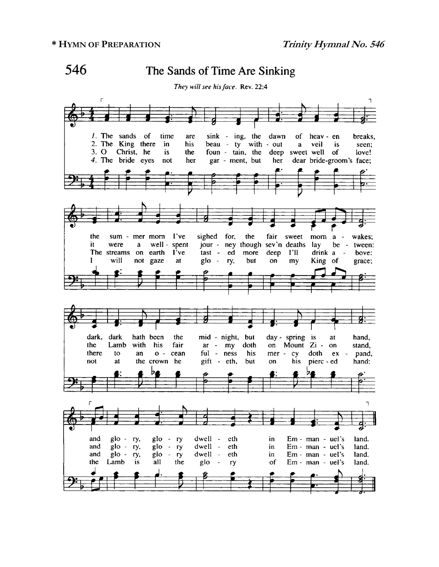

## The Sands of Time Are Sinking

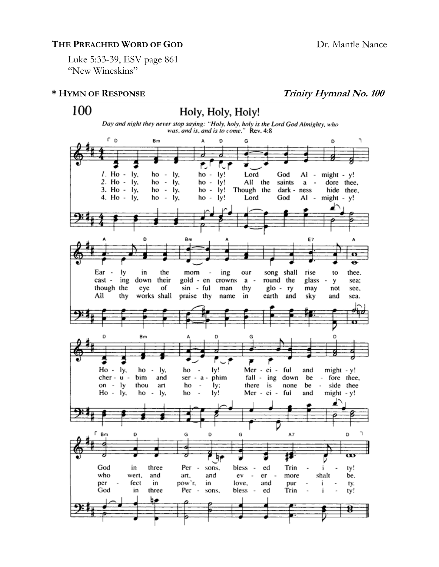#### **THE PREACHED WORD OF GOD** Dr. Mantle Nance

Luke 5:33-39, ESV page 861 "New Wineskins"

#### **\* HYMN OF RESPONSE Trinity Hymnal No. 100**

#### 100

# Holy, Holy, Holy!

Day and night they never stop saying: "Holy, holy, holy is the Lord God Almighty, who was, and is, and is to come." Rev. 4:8

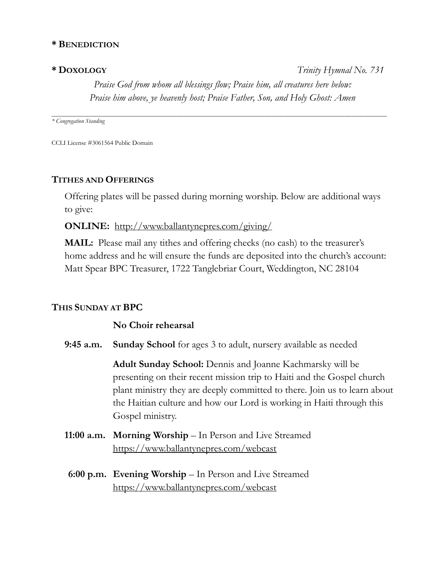#### **\* BENEDICTION**

**\* DOXOLOGY** *Trinity Hymnal No. 731*

*Praise God from whom all blessings flow; Praise him, all creatures here below: Praise him above, ye heavenly host; Praise Father, Son, and Holy Ghost: Amen*

*\_\_\_\_\_\_\_\_\_\_\_\_\_\_\_\_\_\_\_\_\_\_\_\_\_\_\_\_\_\_\_\_\_\_\_\_\_\_\_\_\_\_\_\_\_\_\_\_\_\_\_\_\_\_\_\_\_\_\_\_\_\_\_\_\_\_\_\_\_\_\_\_\_\_\_\_\_\_\_\_\_\_\_\_\_\_\_\_\_\_\_\_\_\_\_\_\_\_\_\_\_\_\_\_ \* Congregation Standing*

CCLI License #3061564 Public Domain

#### **TITHES AND OFFERINGS**

Offering plates will be passed during morning worship. Below are additional ways to give:

**ONLINE:** http://www.ballantynepres.com/giving/

**MAIL:** Please mail any tithes and offering checks (no cash) to the treasurer's home address and he will ensure the funds are deposited into the church's account: Matt Spear BPC Treasurer, 1722 Tanglebriar Court, Weddington, NC 28104

### **THIS SUNDAY AT BPC**

### **No Choir rehearsal**

**9:45 a.m. Sunday School** for ages 3 to adult, nursery available as needed

**Adult Sunday School:** Dennis and Joanne Kachmarsky will be presenting on their recent mission trip to Haiti and the Gospel church plant ministry they are deeply committed to there. Join us to learn about the Haitian culture and how our Lord is working in Haiti through this Gospel ministry.

- **11:00 a.m. Morning Worship**  In Person and Live Streamed <https://www.ballantynepres.com/webcast>
- **6:00 p.m. Evening Worship**  In Person and Live Streamed <https://www.ballantynepres.com/webcast>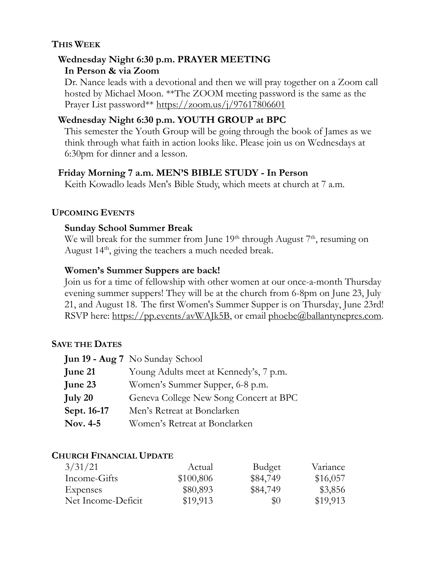# **THIS WEEK**

# **Wednesday Night 6:30 p.m. PRAYER MEETING In Person & via Zoom**

Dr. Nance leads with a devotional and then we will pray together on a Zoom call hosted by Michael Moon. \*\*The ZOOM meeting password is the same as the Prayer List password\*\* https://zoom.us/j/97617806601

# **Wednesday Night 6:30 p.m. YOUTH GROUP at BPC**

This semester the Youth Group will be going through the book of James as we think through what faith in action looks like. Please join us on Wednesdays at 6:30pm for dinner and a lesson.

# **Friday Morning 7 a.m. MEN'S BIBLE STUDY - In Person**

Keith Kowadlo leads Men's Bible Study, which meets at church at 7 a.m.

# **UPCOMING EVENTS**

# **Sunday School Summer Break**

We will break for the summer from June  $19<sup>th</sup>$  through August  $7<sup>th</sup>$ , resuming on August  $14<sup>th</sup>$ , giving the teachers a much needed break.

# **Women's Summer Suppers are back!**

Join us for a time of fellowship with other women at our once-a-month Thursday evening summer suppers! They will be at the church from 6-8pm on June 23, July 21, and August 18. The first Women's Summer Supper is on Thursday, June 23rd! RSVP here: [https://pp.events/avWAJk5B,](https://pp.events/avWAJk5B) or email [phoebe@ballantynepres.com.](mailto:phoebe@ballantynepres.com)

# **SAVE THE DATES**

|             | <b>Jun 19 - Aug 7</b> No Sunday School |
|-------------|----------------------------------------|
| June 21     | Young Adults meet at Kennedy's, 7 p.m. |
| June 23     | Women's Summer Supper, 6-8 p.m.        |
| July 20     | Geneva College New Song Concert at BPC |
| Sept. 16-17 | Men's Retreat at Bonclarken            |
| Nov. 4-5    | Women's Retreat at Bonclarken          |

# **CHURCH FINANCIAL UPDATE**

| 3/31/21            | Actual    | <b>Budget</b> | Variance |
|--------------------|-----------|---------------|----------|
| Income-Gifts       | \$100,806 | \$84,749      | \$16,057 |
| Expenses           | \$80,893  | \$84,749      | \$3,856  |
| Net Income-Deficit | \$19,913  | $\$0$         | \$19,913 |